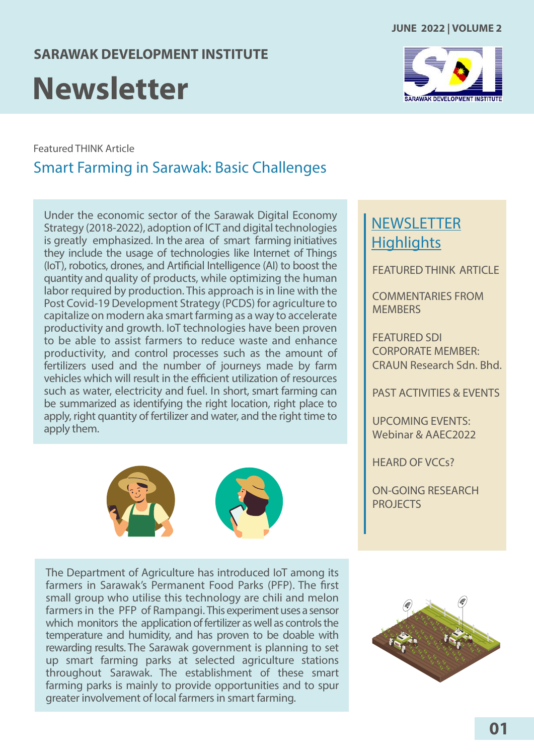#### **SARAWAK DEVELOPMENT INSTITUTE**

## **Newsletter**



Featured THINK Article

## Smart Farming in Sarawak: Basic Challenges

Under the economic sector of the Sarawak Digital Economy Strategy (2018-2022), adoption of ICT and digital technologies is greatly emphasized. In the area of smart farming initiatives they include the usage of technologies like Internet of Things (IoT), robotics, drones, and Artificial Intelligence (AI) to boost the quantity and quality of products, while optimizing the human labor required by production. This approach is in line with the Post Covid-19 Development Strategy (PCDS) for agriculture to capitalize on modern aka smart farming as a way to accelerate productivity and growth. IoT technologies have been proven to be able to assist farmers to reduce waste and enhance productivity, and control processes such as the amount of fertilizers used and the number of journeys made by farm vehicles which will result in the efficient utilization of resources such as water, electricity and fuel. In short, smart farming can be summarized as identifying the right location, right place to apply, right quantity of fertilizer and water, and the right time to apply them.



The Department of Agriculture has introduced IoT among its farmers in Sarawak's Permanent Food Parks (PFP). The first small group who utilise this technology are chili and melon farmers in the PFP of Rampangi. This experiment uses a sensor which monitors the application of fertilizer as well as controls the temperature and humidity, and has proven to be doable with rewarding results. The Sarawak government is planning to set up smart farming parks at selected agriculture stations throughout Sarawak. The establishment of these smart farming parks is mainly to provide opportunities and to spur greater involvement of local farmers in smart farming.

## **NEWSLETTER Highlights**

FFATURED THINK ARTICLE

[COMMENTARIES FROM](#page-1-0) **MEMBERS** 

FEATURED SDI CORPORATE MEMBER: [CRAUN Research Sdn. Bhd.](#page-2-0)

[PAST ACTIVITIES & EVENTS](#page-3-0)

UPCOMING EVENTS: [Webinar & AAEC2022](#page-6-0)

[HEARD OF VCCs?](#page-8-0)

[ON-GOING RESEARCH](#page-8-0) PROJECTS

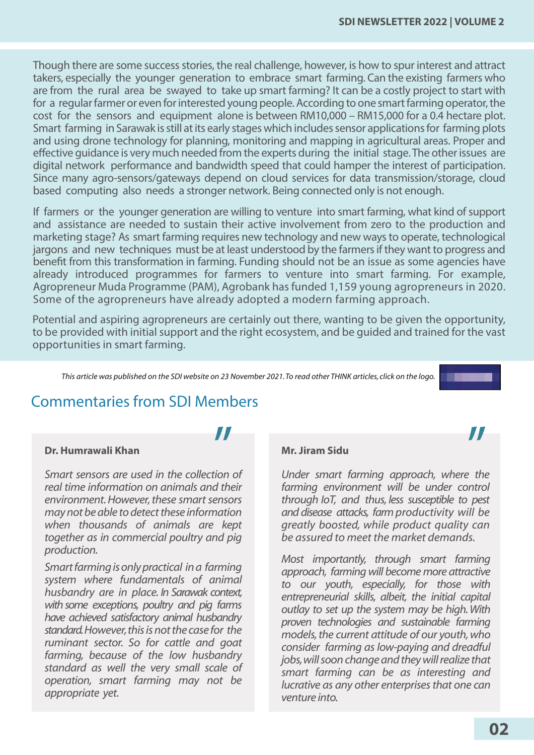<span id="page-1-0"></span>Though there are some success stories, the real challenge, however, is how to spur interest and attract takers, especially the younger generation to embrace smart farming. Can the existing farmers who are from the rural area be swayed to take up smart farming? It can be a costly project to start with for a regular farmer or even for interested young people. According to one smart farming operator, the cost for the sensors and equipment alone is between RM10,000 – RM15,000 for a 0.4 hectare plot. Smart farming in Sarawak is still at its early stages which includes sensor applications for farming plots and using drone technology for planning, monitoring and mapping in agricultural areas. Proper and effective quidance is very much needed from the experts during the initial stage. The other issues are digital network performance and bandwidth speed that could hamper the interest of participation. Since many agro-sensors/gateways depend on cloud services for data transmission/storage, cloud based computing also needs a stronger network. Being connected only is not enough.

If farmers or the younger generation are willing to venture into smart farming, what kind of support and assistance are needed to sustain their active involvement from zero to the production and marketing stage? As smart farming requires new technology and new ways to operate, technological jargons and new techniques must be at least understood by the farmers if they want to progress and benefit from this transformation in farming. Funding should not be an issue as some agencies have already introduced programmes for farmers to venture into smart farming. For example, Agropreneur Muda Programme (PAM), Agrobank has funded 1,159 young agropreneurs in 2020. Some of the agropreneurs have already adopted a modern farming approach.

Potential and aspiring agropreneurs are certainly out there, wanting to be given the opportunity, to be provided with initial support and the right ecosystem, and be guided and trained for the vast opportunities in smart farming.

*This article was published on the SDI website on 23 November 2021. To read other THINK articles, click on the logo.*

## Commentaries from SDI Members *II*

#### **Dr. Humrawali Khan Mr. Jiram Sidu**

*Smart sensors are used in the collection of real time information on animals and their environment. However, these smart sensors may not be able to detect these information when thousands of animals are kept together as in commercial poultry and pig production.*

*Smart farming is only practical in a farming system where fundamentals of animal husbandry are in place. In Sarawak context, with some exceptions, poultry and pig farms have achieved satisfactory animal husbandry standard. However, this is not the case for the ruminant sector. So for cattle and goat farming, because of the low husbandry standard as well the very small scale of operation, smart farming may not be appropriate yet.*

*Under smart farming approach, where the farming environment will be under control through IoT, and thus, less susceptible to pest and disease attacks, farm productivity will be greatly boosted, while product quality can be assured to meet the market demands.* 

*Most importantly, through smart farming approach, farming will become more attractive to our youth, especially, for those with entrepreneurial skills, albeit, the initial capital outlay to set up the system may be high. With proven technologies and sustainable farming models, the current attitude of our youth, who consider farming as low-paying and dreadful jobs, will soon change and they will realize that smart farming can be as interesting and lucrative as any other enterprises that one can venture into.*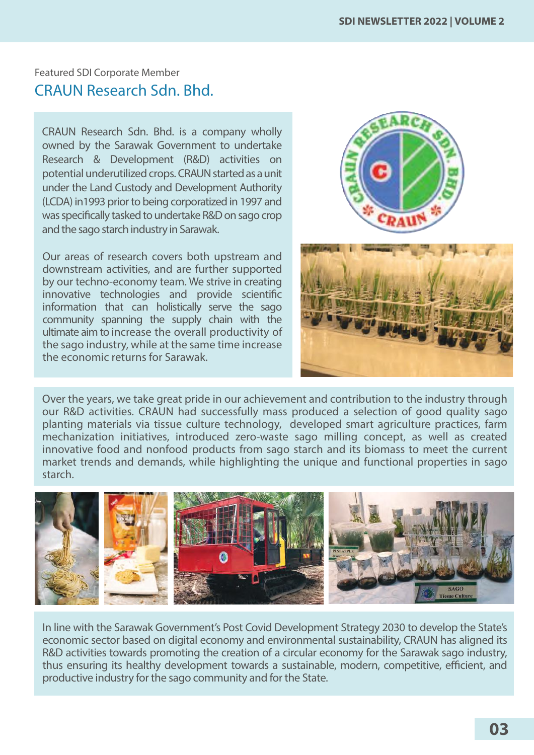<span id="page-2-0"></span>Featured SDI Corporate Member CRAUN Research Sdn. Bhd.

CRAUN Research Sdn. Bhd. is a company wholly owned by the Sarawak Government to undertake Research & Development (R&D) activities on potential underutilized crops. CRAUN started as a unit under the Land Custody and Development Authority (LCDA) in1993 prior to being corporatized in 1997 and was specifically tasked to undertake R&D on sago crop and the sago starch industry in Sarawak.

Our areas of research covers both upstream and downstream activities, and are further supported by our techno-economy team. We strive in creating innovative technologies and provide scientific information that can holistically serve the sago community spanning the supply chain with the ultimate aim to increase the overall productivity of the sago industry, while at the same time increase the economic returns for Sarawak.





Over the years, we take great pride in our achievement and contribution to the industry through our R&D activities. CRAUN had successfully mass produced a selection of good quality sago planting materials via tissue culture technology, developed smart agriculture practices, farm mechanization initiatives, introduced zero-waste sago milling concept, as well as created innovative food and nonfood products from sago starch and its biomass to meet the current market trends and demands, while highlighting the unique and functional properties in sago starch.



In line with the Sarawak Government's Post Covid Development Strategy 2030 to develop the State's economic sector based on digital economy and environmental sustainability, CRAUN has aligned its R&D activities towards promoting the creation of a circular economy for the Sarawak sago industry, thus ensuring its healthy development towards a sustainable, modern, competitive, efficient, and productive industry for the sago community and for the State.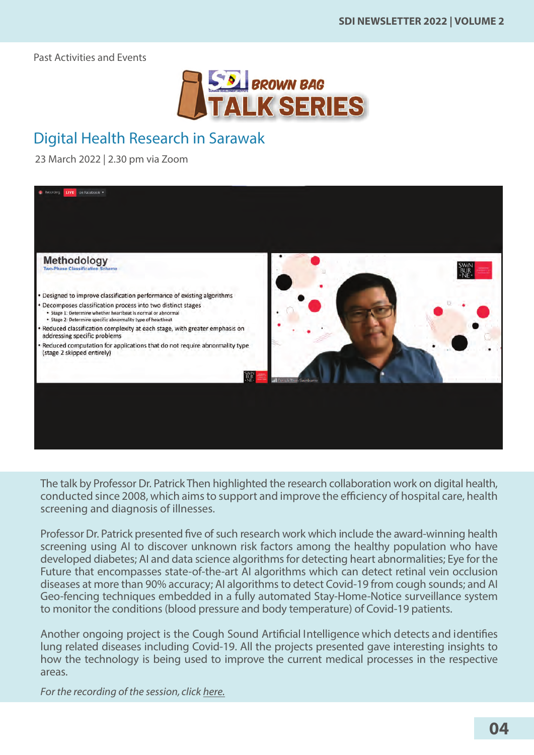<span id="page-3-0"></span>Past Activities and Events



## Digital Health Research in Sarawak

23 March 2022 | 2.30 pm via Zoom



The talk by Professor Dr. Patrick Then highlighted the research collaboration work on digital health, conducted since 2008, which aims to support and improve the efficiency of hospital care, health screening and diagnosis of illnesses.

Professor Dr. Patrick presented five of such research work which include the award-winning health screening using AI to discover unknown risk factors among the healthy population who have developed diabetes; AI and data science algorithms for detecting heart abnormalities; Eye for the Future that encompasses state-of-the-art AI algorithms which can detect retinal vein occlusion diseases at more than 90% accuracy; AI algorithms to detect Covid-19 from cough sounds; and AI Geo-fencing techniques embedded in a fully automated Stay-Home-Notice surveillance system to monitor the conditions (blood pressure and body temperature) of Covid-19 patients.

Another ongoing project is the Cough Sound Artificial Intelligence which detects and identifies lung related diseases including Covid-19. All the projects presented gave interesting insights to how the technology is being used to improve the current medical processes in the respective areas.

*For the recording of the session, click [here.](https://sdi.com.my/events/past-events/)*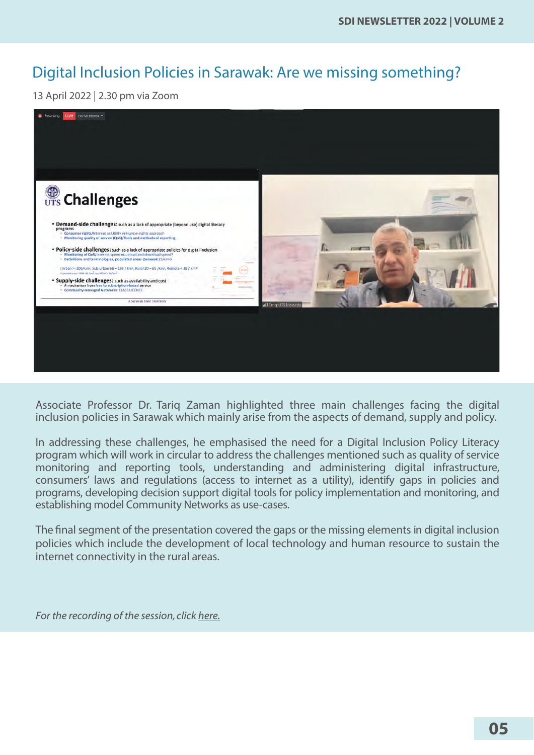## Digital Inclusion Policies in Sarawak: Are we missing something?

13 April 2022 | 2.30 pm via Zoom



Associate Professor Dr. Tariq Zaman highlighted three main challenges facing the digital inclusion policies in Sarawak which mainly arise from the aspects of demand, supply and policy.

In addressing these challenges, he emphasised the need for a Digital Inclusion Policy Literacy program which will work in circular to address the challenges mentioned such as quality of service monitoring and reporting tools, understanding and administering digital infrastructure, consumers' laws and regulations (access to internet as a utility), identify gaps in policies and programs, developing decision support digital tools for policy implementation and monitoring, and establishing model Community Networks as use-cases.

The final segment of the presentation covered the gaps or the missing elements in digital inclusion policies which include the development of local technology and human resource to sustain the internet connectivity in the rural areas.

*For the recording of the session, click [here.](https://sdi.com.my/events/past-events/)*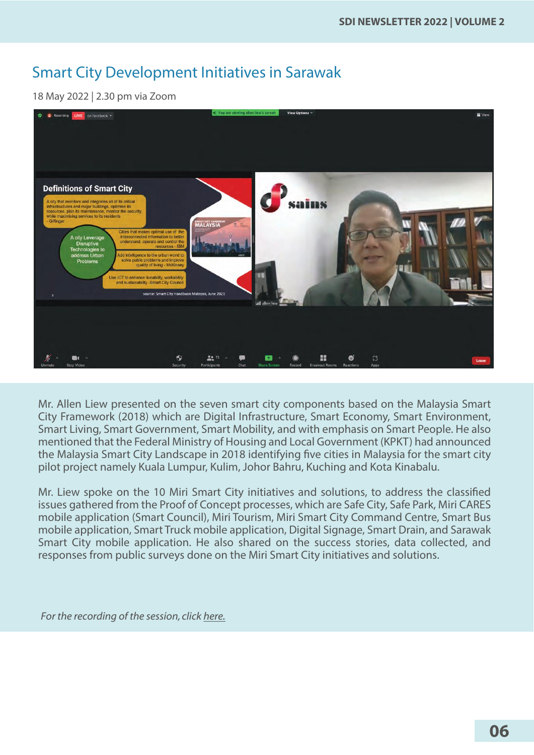## Smart City Development Initiatives in Sarawak

18 May 2022 | 2.30 pm via Zoom



Mr. Allen Liew presented on the seven smart city components based on the Malaysia Smart City Framework (2018) which are Digital Infrastructure, Smart Economy, Smart Environment, Smart Living, Smart Government, Smart Mobility, and with emphasis on Smart People. He also mentioned that the Federal Ministry of Housing and Local Government (KPKT) had announced the Malaysia Smart City Landscape in 2018 identifying five cities in Malaysia for the smart city pilot project namely Kuala Lumpur, Kulim, Johor Bahru, Kuching and Kota Kinabalu.

Mr. Liew spoke on the 10 Miri Smart City initiatives and solutions, to address the classified issues gathered from the Proof of Concept processes, which are Safe City, Safe Park, Miri CARES mobile application (Smart Council), Miri Tourism, Miri Smart City Command Centre, Smart Bus mobile application, Smart Truck mobile application, Digital Signage, Smart Drain, and Sarawak Smart City mobile application. He also shared on the success stories, data collected, and responses from public surveys done on the Miri Smart City initiatives and solutions.

*For the recording of the session, click [here.](https://sdi.com.my/events/past-events/)*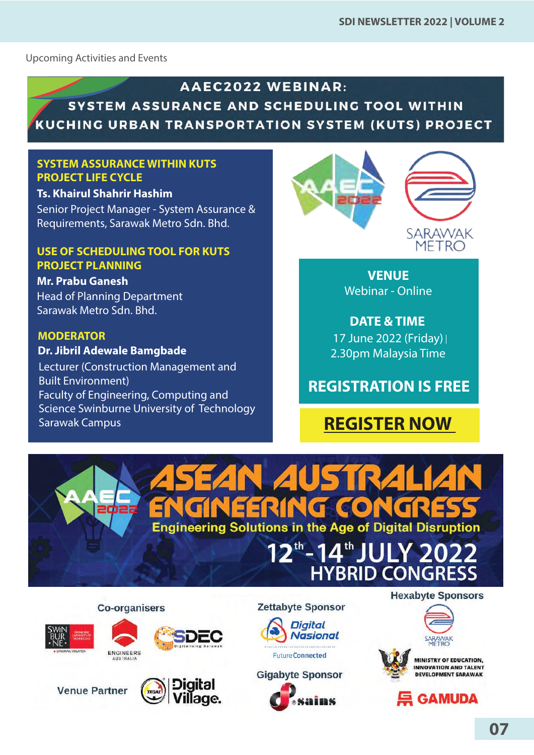<span id="page-6-0"></span>Upcoming Activities and Events

#### **AAEC2022 WEBINAR:** SYSTEM ASSURANCE AND SCHEDULING TOOL WITHIN

KUCHING URBAN TRANSPORTATION SYSTEM (KUTS) PROJECT

#### **SYSTEM ASSURANCE WITHIN KUTS PROJECT LIFE CYCLE**

#### **Ts. Khairul Shahrir Hashim**

Senior Project Manager - System Assurance & Requirements, Sarawak Metro Sdn. Bhd.

#### **USE OF SCHEDULING TOOL FOR KUTS PROJECT PLANNING**

#### **Mr. Prabu Ganesh**

Head of Planning Department Sarawak Metro Sdn. Bhd.

#### **MODERATOR**

**Dr. Jibril Adewale Bamgbade**

Lecturer (Construction Management and Built Environment) Faculty of Engineering, Computing and Science Swinburne University of Technology Sarawak Campus



**VENUE** Webinar - Online

**DATE & TIME** 17 June 2022 (Friday) 2.30pm Malaysia Time

## **REGISTRATION IS FREE**

## **[REGISTER NOW](https://web.cvent.com/event/d1480f93-eb42-48eb-ba72-596347acf2c0/regProcessStep1)**

N *A*USTR **Engineering Solutions in the Age of Digital Disruption** 

# <sup>th</sup>-14<sup>th</sup> JULY 2022<br>HYBRID CONGRESS

**Co-organisers** 















**Hexabyte Sponsors** 



**MINISTRY OF EDUCATION, INNOVATION AND TALENT DEVELOPMENT SARAWAK** 

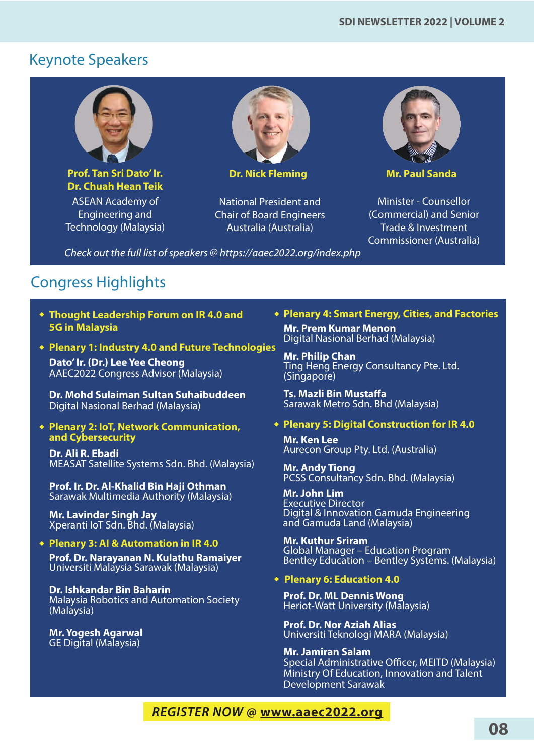## Keynote Speakers



**Prof. Tan Sri Dato' Ir. Dr. Chuah Hean Teik**  ASEAN Academy of

Engineering and Technology (Malaysia)



**Dr. Nick Fleming**

National President and Chair of Board Engineers Australia (Australia)



**Mr. Paul Sanda** 

Minister - Counsellor (Commercial) and Senior Trade & Investment Commissioner (Australia)

*Check out the full list of speakers @<https://aaec2022.org/index.php>*

## Congress Highlights

- **Thought Leadership Forum on IR 4.0 and 5G in Malaysia**
- **Plenary 1: Industry 4.0 and Future Technologies**

**Dato' Ir. (Dr.) Lee Yee Cheong** AAEC2022 Congress Advisor (Malaysia)

**Dr. Mohd Sulaiman Sultan Suhaibuddeen** Digital Nasional Berhad (Malaysia)

**Plenary 2: IoT, Network Communication, and Cybersecurity** 

**Dr. Ali R. Ebadi** MEASAT Satellite Systems Sdn. Bhd. (Malaysia)

**Prof. Ir. Dr. Al-Khalid Bin Haji Othman** Sarawak Multimedia Authority (Malaysia)

**Mr. Lavindar Singh Jay** Xperanti IoT Sdn. Bhd. (Malaysia)

#### **Plenary 3: AI & Automation in IR 4.0**

**Prof. Dr. Narayanan N. Kulathu Ramaiyer** Universiti Malaysia Sarawak (Malaysia)

**Dr. Ishkandar Bin Baharin** Malaysia Robotics and Automation Society (Malaysia)

**Mr. Yogesh Agarwal** GE Digital (Malaysia)

#### **Plenary 4: Smart Energy, Cities, and Factories**

**Mr. Prem Kumar Menon** Digital Nasional Berhad (Malaysia)

**Mr. Philip Chan** Ting Heng Energy Consultancy Pte. Ltd. (Singapore)

**Ts. Mazli Bin Mustaffa** Sarawak Metro Sdn. Bhd (Malaysia)

#### **Plenary 5: Digital Construction for IR 4.0**

**Mr. Ken Lee** Aurecon Group Pty. Ltd. (Australia)

**Mr. Andy Tiong**  PCSS Consultancy Sdn. Bhd. (Malaysia)

**Mr. John Lim**  Executive Director Digital & Innovation Gamuda Engineering and Gamuda Land (Malaysia)

**Mr. Kuthur Sriram** Global Manager – Education Program Bentley Education – Bentley Systems. (Malaysia)

**Plenary 6: Education 4.0**

**Prof. Dr. ML Dennis Wong** Heriot-Watt University (Malaysia)

**Prof. Dr. Nor Aziah Alias** Universiti Teknologi MARA (Malaysia)

#### **Mr. Jamiran Salam**

Special Administrative Officer, MEITD (Malaysia) Ministry Of Education, Innovation and Talent Development Sarawak

#### *REGISTER NOW* **@ <www.aaec2022.org>**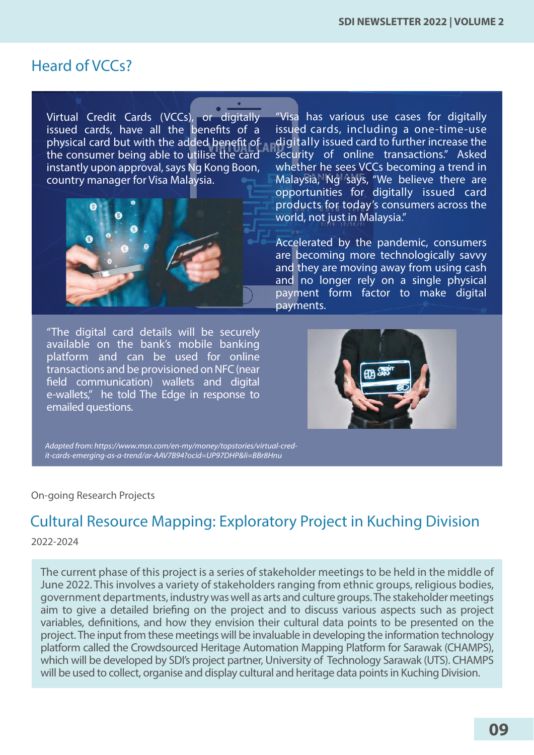### <span id="page-8-0"></span>Heard of VCCs?

Virtual Credit Cards (VCCs), or digitally issued cards, have all the benefits of a physical card but with the added benefit of the consumer being able to utilise the card instantly upon approval, says Ng Kong Boon, country manager for Visa Malaysia.



"The digital card details will be securely available on the bank's mobile banking platform and can be used for online transactions and be provisioned on NFC (near field communication) wallets and digital e-wallets," he told The Edge in response to emailed questions.

"Visa has various use cases for digitally issued cards, including a one-time-use digitally issued card to further increase the security of online transactions." Asked whether he sees VCCs becoming a trend in Malaysia, Ng says, "We believe there are opportunities for digitally issued card products for today's consumers across the world, not just in Malaysia."

Accelerated by the pandemic, consumers are becoming more technologically savvy and they are moving away from using cash and no longer rely on a single physical payment form factor to make digital payments.



*Adapted from: https://www.msn.com/en-my/money/topstories/virtual-credit-cards-emerging-as-a-trend/ar-AAV7B94?ocid=UP97DHP&li=BBr8Hnu*

#### On-going Research Projects

## Cultural Resource Mapping: Exploratory Project in Kuching Division

2022-2024

The current phase of this project is a series of stakeholder meetings to be held in the middle of June 2022. This involves a variety of stakeholders ranging from ethnic groups, religious bodies, government departments, industry was well as arts and culture groups. The stakeholder meetings aim to give a detailed briefing on the project and to discuss various aspects such as project variables, definitions, and how they envision their cultural data points to be presented on the project. The input from these meetings will be invaluable in developing the information technology platform called the Crowdsourced Heritage Automation Mapping Platform for Sarawak (CHAMPS), which will be developed by SDI's project partner, University of Technology Sarawak (UTS). CHAMPS will be used to collect, organise and display cultural and heritage data points in Kuching Division.